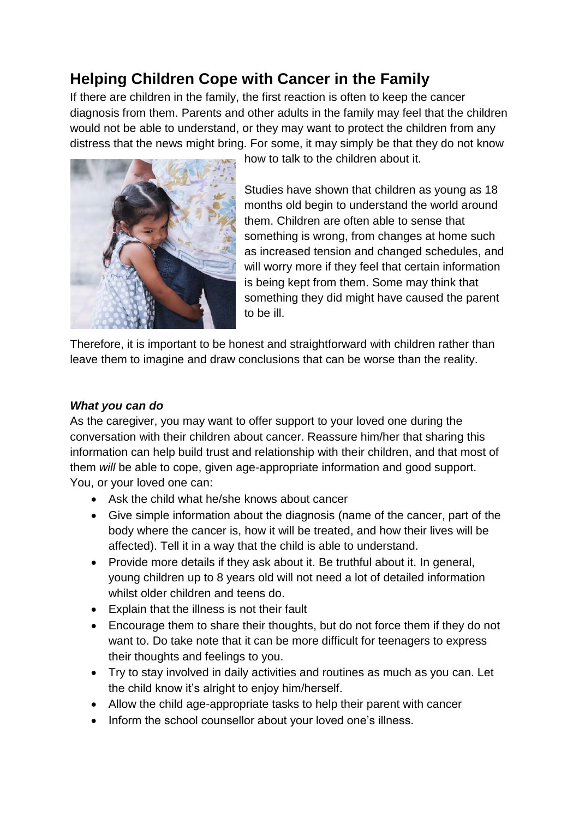# **Helping Children Cope with Cancer in the Family**

If there are children in the family, the first reaction is often to keep the cancer diagnosis from them. Parents and other adults in the family may feel that the children would not be able to understand, or they may want to protect the children from any distress that the news might bring. For some, it may simply be that they do not know



how to talk to the children about it.

Studies have shown that children as young as 18 months old begin to understand the world around them. Children are often able to sense that something is wrong, from changes at home such as increased tension and changed schedules, and will worry more if they feel that certain information is being kept from them. Some may think that something they did might have caused the parent to be ill.

Therefore, it is important to be honest and straightforward with children rather than leave them to imagine and draw conclusions that can be worse than the reality.

#### *What you can do*

As the caregiver, you may want to offer support to your loved one during the conversation with their children about cancer. Reassure him/her that sharing this information can help build trust and relationship with their children, and that most of them *will* be able to cope, given age-appropriate information and good support. You, or your loved one can:

- Ask the child what he/she knows about cancer
- Give simple information about the diagnosis (name of the cancer, part of the body where the cancer is, how it will be treated, and how their lives will be affected). Tell it in a way that the child is able to understand.
- Provide more details if they ask about it. Be truthful about it. In general, young children up to 8 years old will not need a lot of detailed information whilst older children and teens do.
- Explain that the illness is not their fault
- Encourage them to share their thoughts, but do not force them if they do not want to. Do take note that it can be more difficult for teenagers to express their thoughts and feelings to you.
- Try to stay involved in daily activities and routines as much as you can. Let the child know it's alright to enjoy him/herself.
- Allow the child age-appropriate tasks to help their parent with cancer
- Inform the school counsellor about your loved one's illness.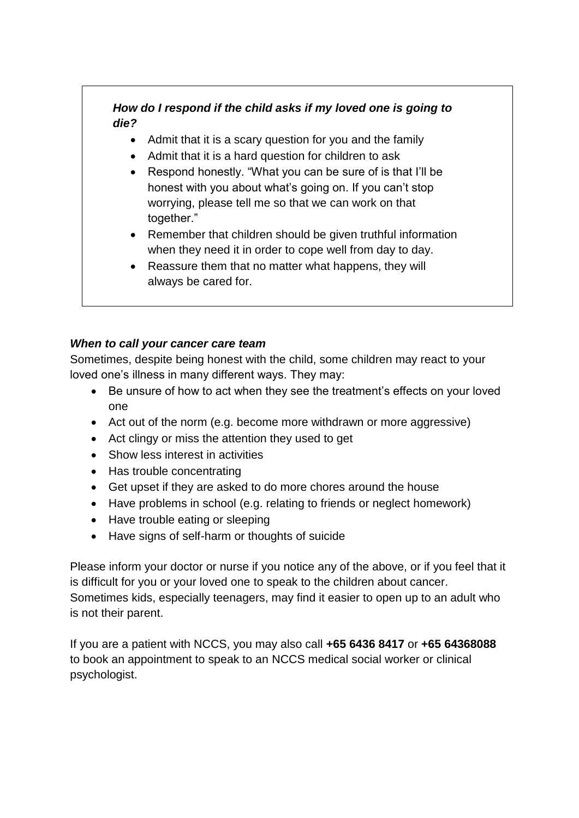## *How do I respond if the child asks if my loved one is going to die?*

- Admit that it is a scary question for you and the family
- Admit that it is a hard question for children to ask
- Respond honestly. "What you can be sure of is that I'll be honest with you about what's going on. If you can't stop worrying, please tell me so that we can work on that together."
- Remember that children should be given truthful information when they need it in order to cope well from day to day.
- Reassure them that no matter what happens, they will always be cared for.

### *When to call your cancer care team*

Sometimes, despite being honest with the child, some children may react to your loved one's illness in many different ways. They may:

- Be unsure of how to act when they see the treatment's effects on your loved one
- Act out of the norm (e.g. become more withdrawn or more aggressive)
- Act clingy or miss the attention they used to get
- Show less interest in activities
- Has trouble concentrating
- Get upset if they are asked to do more chores around the house
- Have problems in school (e.g. relating to friends or neglect homework)
- Have trouble eating or sleeping
- Have signs of self-harm or thoughts of suicide

Please inform your doctor or nurse if you notice any of the above, or if you feel that it is difficult for you or your loved one to speak to the children about cancer. Sometimes kids, especially teenagers, may find it easier to open up to an adult who is not their parent.

If you are a patient with NCCS, you may also call **+65 6436 8417** or **+65 64368088** to book an appointment to speak to an NCCS medical social worker or clinical psychologist.